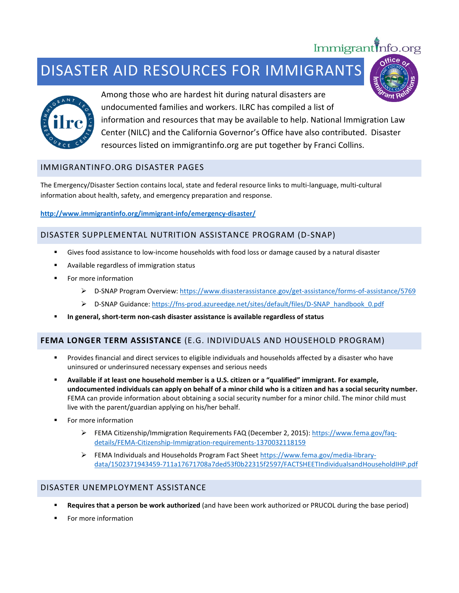# DISASTER AID RESOURCES FOR IMMIGRANTS



Among those who are hardest hit during natural disasters are undocumented families and workers. ILRC has compiled a list of information and resources that may be available to help. National Immigration Law Center (NILC) and the California Governor's Office have also contributed. Disaster resources listed on immigrantinfo.org are put together by Franci Collins.

Immigrant Info.org

# IMMIGRANTINFO.ORG DISASTER PAGES

The Emergency/Disaster Section contains local, state and federal resource links to multi-language, multi-cultural information about health, safety, and emergency preparation and response.

**<http://www.immigrantinfo.org/immigrant-info/emergency-disaster/>**

# DISASTER SUPPLEMENTAL NUTRITION ASSISTANCE PROGRAM (D-SNAP)

- Gives food assistance to low-income households with food loss or damage caused by a natural disaster
- Available regardless of immigration status
- **For more information** 
	- ▶ D-SNAP Program Overview:<https://www.disasterassistance.gov/get-assistance/forms-of-assistance/5769>
	- D-SNAP Guidance: [https://fns-prod.azureedge.net/sites/default/files/D-SNAP\\_handbook\\_0.pdf](https://fns-prod.azureedge.net/sites/default/files/D-SNAP_handbook_0.pdf)
- **In general, short-term non-cash disaster assistance is available regardless of status**

# **FEMA LONGER TERM ASSISTANCE** (E.G. INDIVIDUALS AND HOUSEHOLD PROGRAM)

- Provides financial and direct services to eligible individuals and households affected by a disaster who have uninsured or underinsured necessary expenses and serious needs
- **Available if at least one household member is a U.S. citizen or a "qualified" immigrant. For example, undocumented individuals can apply on behalf of a minor child who is a citizen and has a social security number.**  FEMA can provide information about obtaining a social security number for a minor child. The minor child must live with the parent/guardian applying on his/her behalf.
- For more information
	- FEMA Citizenship/Immigration Requirements FAQ (December 2, 2015)[: https://www.fema.gov/faq](https://www.fema.gov/faq-details/FEMA-Citizenship-Immigration-requirements-1370032118159)[details/FEMA-Citizenship-Immigration-requirements-1370032118159](https://www.fema.gov/faq-details/FEMA-Citizenship-Immigration-requirements-1370032118159)
	- FEMA Individuals and Households Program Fact Sheet [https://www.fema.gov/media-library](https://www.fema.gov/media-library-data/1502371943459-711a17671708a7ded53f0b22315f2597/FACTSHEETIndividualsandHouseholdIHP.pdf)[data/1502371943459-711a17671708a7ded53f0b22315f2597/FACTSHEETIndividualsandHouseholdIHP.pdf](https://www.fema.gov/media-library-data/1502371943459-711a17671708a7ded53f0b22315f2597/FACTSHEETIndividualsandHouseholdIHP.pdf)

#### DISASTER UNEMPLOYMENT ASSISTANCE

- **Requires that a person be work authorized** (and have been work authorized or PRUCOL during the base period)
- For more information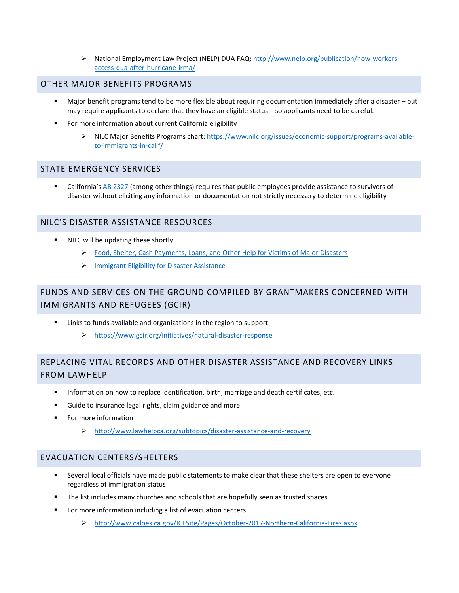▶ National Employment Law Project (NELP) DUA FAQ: [http://www.nelp.org/publication/how-workers](http://www.nelp.org/publication/how-workers-access-dua-after-hurricane-irma/)[access-dua-after-hurricane-irma/](http://www.nelp.org/publication/how-workers-access-dua-after-hurricane-irma/)

#### OTHER MAJOR BENEFITS PROGRAMS

- Major benefit programs tend to be more flexible about requiring documentation immediately after a disaster but may require applicants to declare that they have an eligible status – so applicants need to be careful.
- For more information about current California eligibility
	- ▶ NILC Major Benefits Programs chart: [https://www.nilc.org/issues/economic-support/programs-available](https://www.nilc.org/issues/economic-support/programs-available-to-immigrants-in-calif/)[to-immigrants-in-calif/](https://www.nilc.org/issues/economic-support/programs-available-to-immigrants-in-calif/)

#### STATE EMERGENCY SERVICES

 California'[s AB 2327](http://leginfo.legislature.ca.gov/faces/billNavClient.xhtml?bill_id=200720080AB2327) (among other things) requires that public employees provide assistance to survivors of disaster without eliciting any information or documentation not strictly necessary to determine eligibility

# NILC'S DISASTER ASSISTANCE RESOURCES

- NILC will be updating these shortly
	- [Food, Shelter, Cash Payments, Loans, and Other Help for Victims of Major Disasters](https://www.nilc.org/issues/economic-support/disaster-help/)
	- $\triangleright$  [Immigrant Eligibility for Disaster Assistance](https://www.nilc.org/immigrant-eligibility-disaster-assistance/)

# FUNDS AND SERVICES ON THE GROUND COMPILED BY GRANTMAKERS CONCERNED WITH IMMIGRANTS AND REFUGEES (GCIR)

- Links to funds available and organizations in the region to support
	- <https://www.gcir.org/initiatives/natural-disaster-response>

# REPLACING VITAL RECORDS AND OTHER DISASTER ASSISTANCE AND RECOVERY LINKS FROM LAWHELP

- Information on how to replace identification, birth, marriage and death certificates, etc.
- Guide to insurance legal rights, claim guidance and more
- **Formore information** 
	- <http://www.lawhelpca.org/subtopics/disaster-assistance-and-recovery>

# EVACUATION CENTERS/SHELTERS

- Several local officials have made public statements to make clear that these shelters are open to everyone regardless of immigration status
- The list includes many churches and schools that are hopefully seen as trusted spaces
- For more information including a list of evacuation centers
	- <http://www.caloes.ca.gov/ICESite/Pages/October-2017-Northern-California-Fires.aspx>